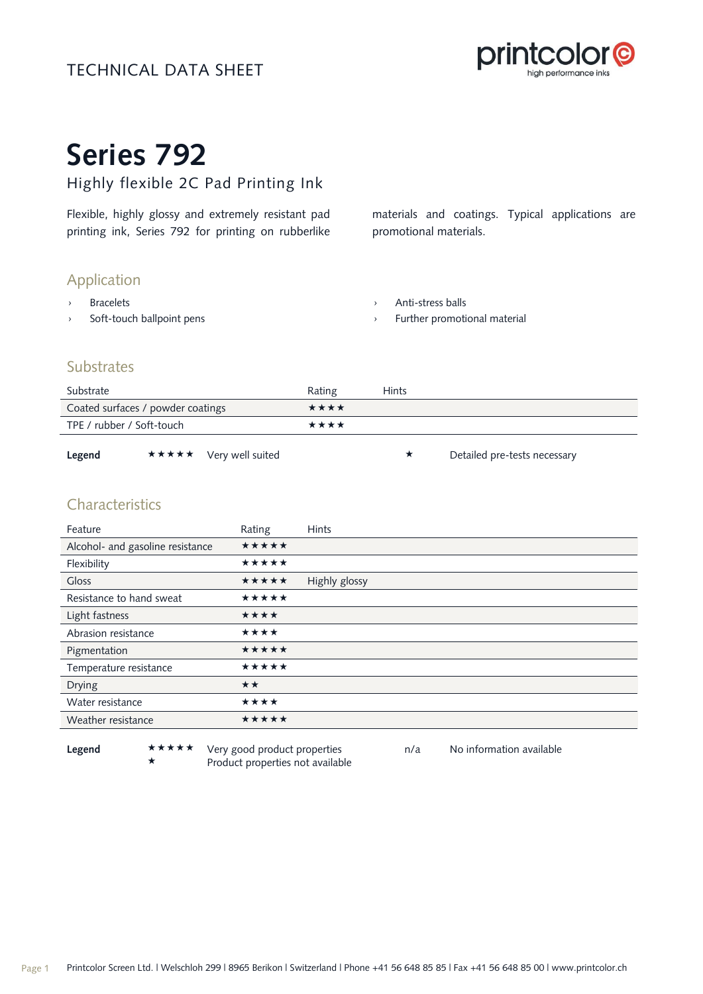# TECHNICAL DATA SHEET



# **Series 792**

# Highly flexible 2C Pad Printing Ink

Flexible, highly glossy and extremely resistant pad printing ink, Series 792 for printing on rubberlike materials and coatings. Typical applications are promotional materials.

# Application

- › Bracelets
- › Soft-touch ballpoint pens

› Anti-stress balls

Further promotional material

# **Substrates**

| Substrate                         |                        | Rating | Hints |                              |
|-----------------------------------|------------------------|--------|-------|------------------------------|
| Coated surfaces / powder coatings |                        | ****   |       |                              |
| TPE / rubber / Soft-touch         |                        | ****   |       |                              |
| Legend                            | ★★★★★ Very well suited |        |       | Detailed pre-tests necessary |

# Characteristics

| Feature                          | Rating       | <b>Hints</b>  |
|----------------------------------|--------------|---------------|
| Alcohol- and gasoline resistance | *****        |               |
| Flexibility                      | *****        |               |
| <b>Gloss</b>                     | *****        | Highly glossy |
| Resistance to hand sweat         | *****        |               |
| Light fastness                   | ****         |               |
| Abrasion resistance              | ****         |               |
| Pigmentation                     | *****        |               |
| Temperature resistance           | *****        |               |
| <b>Drying</b>                    | $\star\star$ |               |
| Water resistance                 | ****         |               |
| Weather resistance               | *****        |               |
|                                  |              |               |

Legend **\*\*\*\*\*** Very good product properties n/a No information available Product properties not available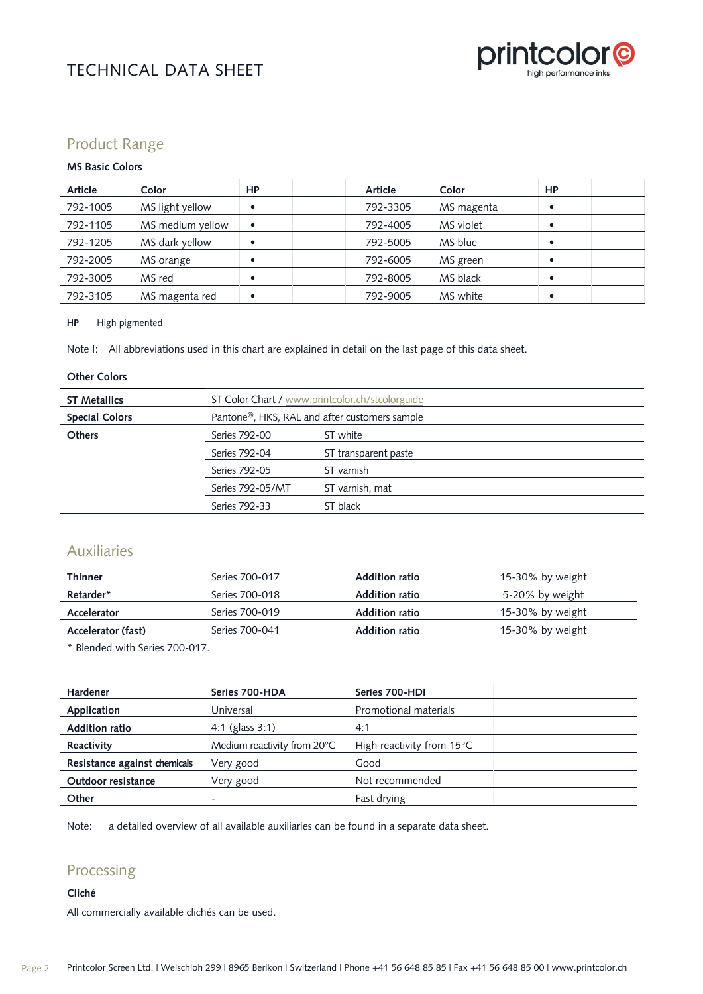

# TECHNICAL DATA SHEET

# Product Range

### **MS Basic Colors**

| Article  | Color            | <b>HP</b> | <b>Article</b> | Color      | <b>HP</b> |  |
|----------|------------------|-----------|----------------|------------|-----------|--|
| 792-1005 | MS light yellow  | $\bullet$ | 792-3305       | MS magenta |           |  |
| 792-1105 | MS medium yellow | ٠         | 792-4005       | MS violet  |           |  |
| 792-1205 | MS dark yellow   | ٠         | 792-5005       | MS blue    |           |  |
| 792-2005 | MS orange        | ٠         | 792-6005       | MS green   |           |  |
| 792-3005 | MS red           | ٠         | 792-8005       | MS black   |           |  |
| 792-3105 | MS magenta red   | $\bullet$ | 792-9005       | MS white   |           |  |

### **HP** High pigmented

Note I: All abbreviations used in this chart are explained in detail on the last page of this data sheet.

### **Other Colors**

| ST Color Chart / www.printcolor.ch/stcolorguide            |                      |  |
|------------------------------------------------------------|----------------------|--|
| Pantone <sup>®</sup> , HKS, RAL and after customers sample |                      |  |
| Series 792-00                                              | ST white             |  |
| Series 792-04                                              | ST transparent paste |  |
| Series 792-05                                              | ST varnish           |  |
| Series 792-05/MT                                           | ST varnish, mat      |  |
| Series 792-33                                              | ST black             |  |
|                                                            |                      |  |

## Auxiliaries

| <b>Thinner</b>     | Series 700-017 | <b>Addition ratio</b> | 15-30% by weight |
|--------------------|----------------|-----------------------|------------------|
| Retarder*          | Series 700-018 | <b>Addition ratio</b> | 5-20% by weight  |
| Accelerator        | Series 700-019 | Addition ratio        | 15-30% by weight |
| Accelerator (fast) | Series 700-041 | <b>Addition ratio</b> | 15-30% by weight |
|                    |                |                       |                  |

\* Blended with Series 700-017.

| Hardener                     | Series 700-HDA              | Series 700-HDI                      |
|------------------------------|-----------------------------|-------------------------------------|
| Application                  | Universal                   | Promotional materials               |
| <b>Addition ratio</b>        | 4:1 (glass $3:1$ )          | 4:1                                 |
| Reactivity                   | Medium reactivity from 20°C | High reactivity from $15^{\circ}$ C |
| Resistance against chemicals | Very good                   | Good                                |
| Outdoor resistance           | Very good                   | Not recommended                     |
| Other                        |                             | Fast drying                         |

Note: a detailed overview of all available auxiliaries can be found in a separate data sheet.

# Processing

### **Cliché**

All commercially available clichés can be used.